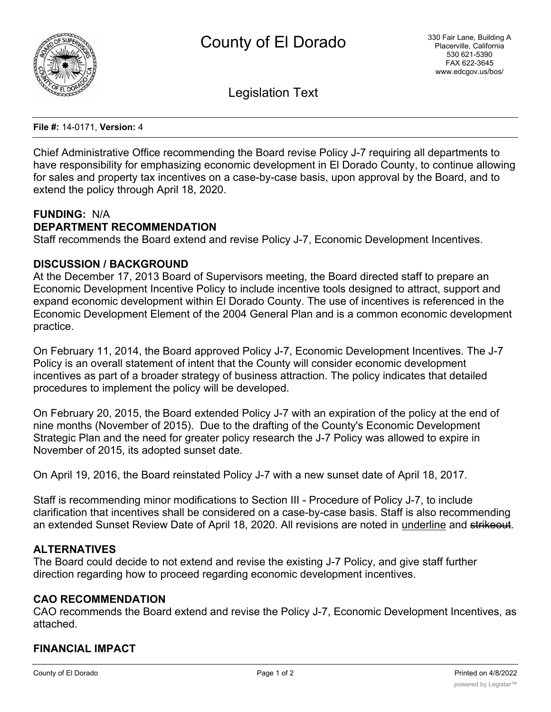

Legislation Text

**File #:** 14-0171, **Version:** 4

Chief Administrative Office recommending the Board revise Policy J-7 requiring all departments to have responsibility for emphasizing economic development in El Dorado County, to continue allowing for sales and property tax incentives on a case-by-case basis, upon approval by the Board, and to extend the policy through April 18, 2020.

### **FUNDING:** N/A

# **DEPARTMENT RECOMMENDATION**

Staff recommends the Board extend and revise Policy J-7, Economic Development Incentives.

### **DISCUSSION / BACKGROUND**

At the December 17, 2013 Board of Supervisors meeting, the Board directed staff to prepare an Economic Development Incentive Policy to include incentive tools designed to attract, support and expand economic development within El Dorado County. The use of incentives is referenced in the Economic Development Element of the 2004 General Plan and is a common economic development practice.

On February 11, 2014, the Board approved Policy J-7, Economic Development Incentives. The J-7 Policy is an overall statement of intent that the County will consider economic development incentives as part of a broader strategy of business attraction. The policy indicates that detailed procedures to implement the policy will be developed.

On February 20, 2015, the Board extended Policy J-7 with an expiration of the policy at the end of nine months (November of 2015). Due to the drafting of the County's Economic Development Strategic Plan and the need for greater policy research the J-7 Policy was allowed to expire in November of 2015, its adopted sunset date.

On April 19, 2016, the Board reinstated Policy J-7 with a new sunset date of April 18, 2017.

Staff is recommending minor modifications to Section III - Procedure of Policy J-7, to include clarification that incentives shall be considered on a case-by-case basis. Staff is also recommending an extended Sunset Review Date of April 18, 2020. All revisions are noted in underline and strikeout.

## **ALTERNATIVES**

The Board could decide to not extend and revise the existing J-7 Policy, and give staff further direction regarding how to proceed regarding economic development incentives.

#### **CAO RECOMMENDATION**

CAO recommends the Board extend and revise the Policy J-7, Economic Development Incentives, as attached.

## **FINANCIAL IMPACT**